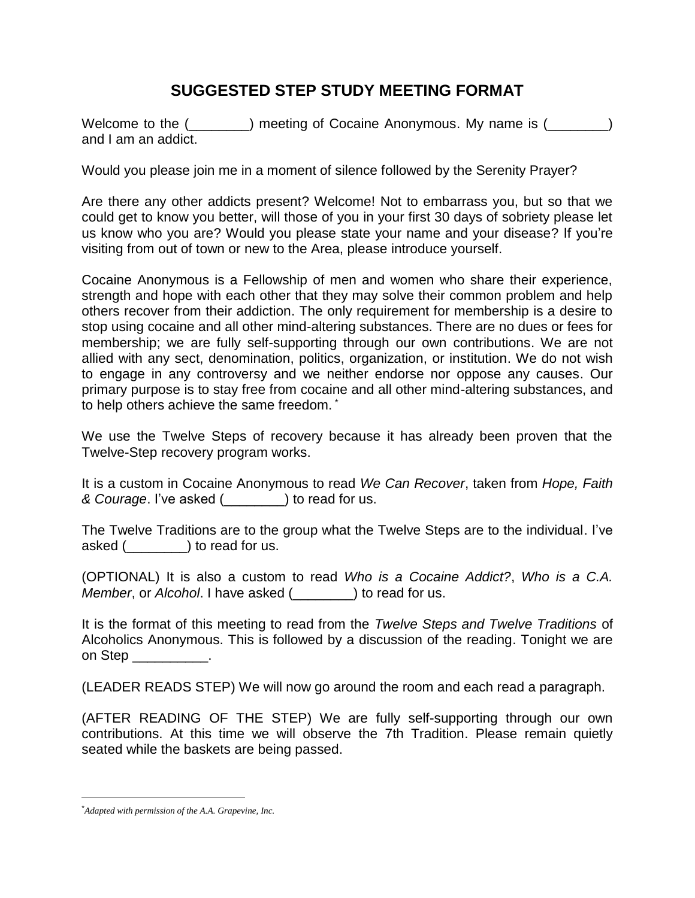## **SUGGESTED STEP STUDY MEETING FORMAT**

Welcome to the (\_\_\_\_\_\_\_) meeting of Cocaine Anonymous. My name is (\_\_\_\_\_\_\_) and I am an addict.

Would you please join me in a moment of silence followed by the Serenity Prayer?

Are there any other addicts present? Welcome! Not to embarrass you, but so that we could get to know you better, will those of you in your first 30 days of sobriety please let us know who you are? Would you please state your name and your disease? If you're visiting from out of town or new to the Area, please introduce yourself.

Cocaine Anonymous is a Fellowship of men and women who share their experience, strength and hope with each other that they may solve their common problem and help others recover from their addiction. The only requirement for membership is a desire to stop using cocaine and all other mind-altering substances. There are no dues or fees for membership; we are fully self-supporting through our own contributions. We are not allied with any sect, denomination, politics, organization, or institution. We do not wish to engage in any controversy and we neither endorse nor oppose any causes. Our primary purpose is to stay free from cocaine and all other mind-altering substances, and to help others achieve the same freedom. \*

We use the Twelve Steps of recovery because it has already been proven that the Twelve-Step recovery program works.

It is a custom in Cocaine Anonymous to read *We Can Recover*, taken from *Hope, Faith & Courage*. I've asked (\_\_\_\_\_\_\_\_) to read for us.

The Twelve Traditions are to the group what the Twelve Steps are to the individual. I've asked (\_\_\_\_\_\_\_\_) to read for us.

(OPTIONAL) It is also a custom to read *Who is a Cocaine Addict?*, *Who is a C.A. Member*, or *Alcohol*. I have asked (\_\_\_\_\_\_\_\_) to read for us.

It is the format of this meeting to read from the *Twelve Steps and Twelve Traditions* of Alcoholics Anonymous. This is followed by a discussion of the reading. Tonight we are on Step

(LEADER READS STEP) We will now go around the room and each read a paragraph.

(AFTER READING OF THE STEP) We are fully self-supporting through our own contributions. At this time we will observe the 7th Tradition. Please remain quietly seated while the baskets are being passed.

 $\overline{a}$ 

<sup>\*</sup>*Adapted with permission of the A.A. Grapevine, Inc.*